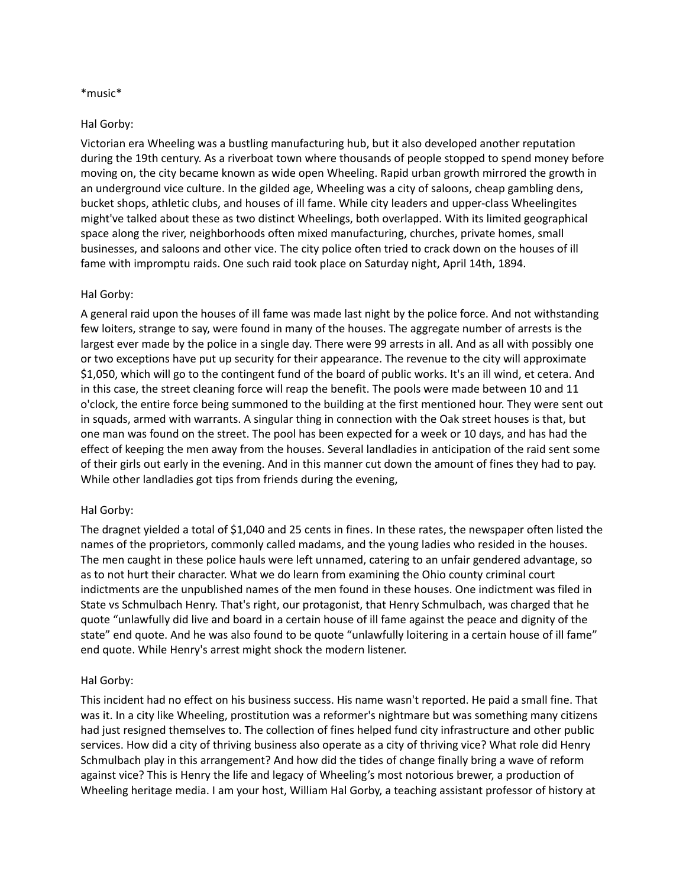## \*music\*

### Hal Gorby:

Victorian era Wheeling was a bustling manufacturing hub, but it also developed another reputation during the 19th century. As a riverboat town where thousands of people stopped to spend money before moving on, the city became known as wide open Wheeling. Rapid urban growth mirrored the growth in an underground vice culture. In the gilded age, Wheeling was a city of saloons, cheap gambling dens, bucket shops, athletic clubs, and houses of ill fame. While city leaders and upper-class Wheelingites might've talked about these as two distinct Wheelings, both overlapped. With its limited geographical space along the river, neighborhoods often mixed manufacturing, churches, private homes, small businesses, and saloons and other vice. The city police often tried to crack down on the houses of ill fame with impromptu raids. One such raid took place on Saturday night, April 14th, 1894.

### Hal Gorby:

A general raid upon the houses of ill fame was made last night by the police force. And not withstanding few loiters, strange to say, were found in many of the houses. The aggregate number of arrests is the largest ever made by the police in a single day. There were 99 arrests in all. And as all with possibly one or two exceptions have put up security for their appearance. The revenue to the city will approximate \$1,050, which will go to the contingent fund of the board of public works. It's an ill wind, et cetera. And in this case, the street cleaning force will reap the benefit. The pools were made between 10 and 11 o'clock, the entire force being summoned to the building at the first mentioned hour. They were sent out in squads, armed with warrants. A singular thing in connection with the Oak street houses is that, but one man was found on the street. The pool has been expected for a week or 10 days, and has had the effect of keeping the men away from the houses. Several landladies in anticipation of the raid sent some of their girls out early in the evening. And in this manner cut down the amount of fines they had to pay. While other landladies got tips from friends during the evening,

#### Hal Gorby:

The dragnet yielded a total of \$1,040 and 25 cents in fines. In these rates, the newspaper often listed the names of the proprietors, commonly called madams, and the young ladies who resided in the houses. The men caught in these police hauls were left unnamed, catering to an unfair gendered advantage, so as to not hurt their character. What we do learn from examining the Ohio county criminal court indictments are the unpublished names of the men found in these houses. One indictment was filed in State vs Schmulbach Henry. That's right, our protagonist, that Henry Schmulbach, was charged that he quote "unlawfully did live and board in a certain house of ill fame against the peace and dignity of the state" end quote. And he was also found to be quote "unlawfully loitering in a certain house of ill fame" end quote. While Henry's arrest might shock the modern listener.

#### Hal Gorby:

This incident had no effect on his business success. His name wasn't reported. He paid a small fine. That was it. In a city like Wheeling, prostitution was a reformer's nightmare but was something many citizens had just resigned themselves to. The collection of fines helped fund city infrastructure and other public services. How did a city of thriving business also operate as a city of thriving vice? What role did Henry Schmulbach play in this arrangement? And how did the tides of change finally bring a wave of reform against vice? This is Henry the life and legacy of Wheeling's most notorious brewer, a production of Wheeling heritage media. I am your host, William Hal Gorby, a teaching assistant professor of history at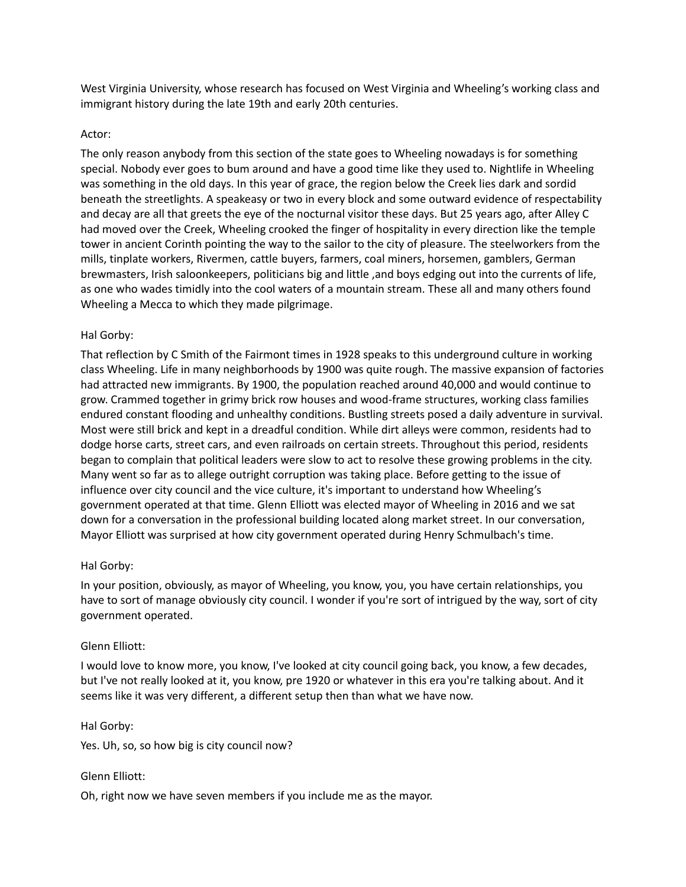West Virginia University, whose research has focused on West Virginia and Wheeling's working class and immigrant history during the late 19th and early 20th centuries.

## Actor:

The only reason anybody from this section of the state goes to Wheeling nowadays is for something special. Nobody ever goes to bum around and have a good time like they used to. Nightlife in Wheeling was something in the old days. In this year of grace, the region below the Creek lies dark and sordid beneath the streetlights. A speakeasy or two in every block and some outward evidence of respectability and decay are all that greets the eye of the nocturnal visitor these days. But 25 years ago, after Alley C had moved over the Creek, Wheeling crooked the finger of hospitality in every direction like the temple tower in ancient Corinth pointing the way to the sailor to the city of pleasure. The steelworkers from the mills, tinplate workers, Rivermen, cattle buyers, farmers, coal miners, horsemen, gamblers, German brewmasters, Irish saloonkeepers, politicians big and little ,and boys edging out into the currents of life, as one who wades timidly into the cool waters of a mountain stream. These all and many others found Wheeling a Mecca to which they made pilgrimage.

# Hal Gorby:

That reflection by C Smith of the Fairmont times in 1928 speaks to this underground culture in working class Wheeling. Life in many neighborhoods by 1900 was quite rough. The massive expansion of factories had attracted new immigrants. By 1900, the population reached around 40,000 and would continue to grow. Crammed together in grimy brick row houses and wood-frame structures, working class families endured constant flooding and unhealthy conditions. Bustling streets posed a daily adventure in survival. Most were still brick and kept in a dreadful condition. While dirt alleys were common, residents had to dodge horse carts, street cars, and even railroads on certain streets. Throughout this period, residents began to complain that political leaders were slow to act to resolve these growing problems in the city. Many went so far as to allege outright corruption was taking place. Before getting to the issue of influence over city council and the vice culture, it's important to understand how Wheeling's government operated at that time. Glenn Elliott was elected mayor of Wheeling in 2016 and we sat down for a conversation in the professional building located along market street. In our conversation, Mayor Elliott was surprised at how city government operated during Henry Schmulbach's time.

## Hal Gorby:

In your position, obviously, as mayor of Wheeling, you know, you, you have certain relationships, you have to sort of manage obviously city council. I wonder if you're sort of intrigued by the way, sort of city government operated.

## Glenn Elliott:

I would love to know more, you know, I've looked at city council going back, you know, a few decades, but I've not really looked at it, you know, pre 1920 or whatever in this era you're talking about. And it seems like it was very different, a different setup then than what we have now.

## Hal Gorby:

Yes. Uh, so, so how big is city council now?

## Glenn Elliott:

Oh, right now we have seven members if you include me as the mayor.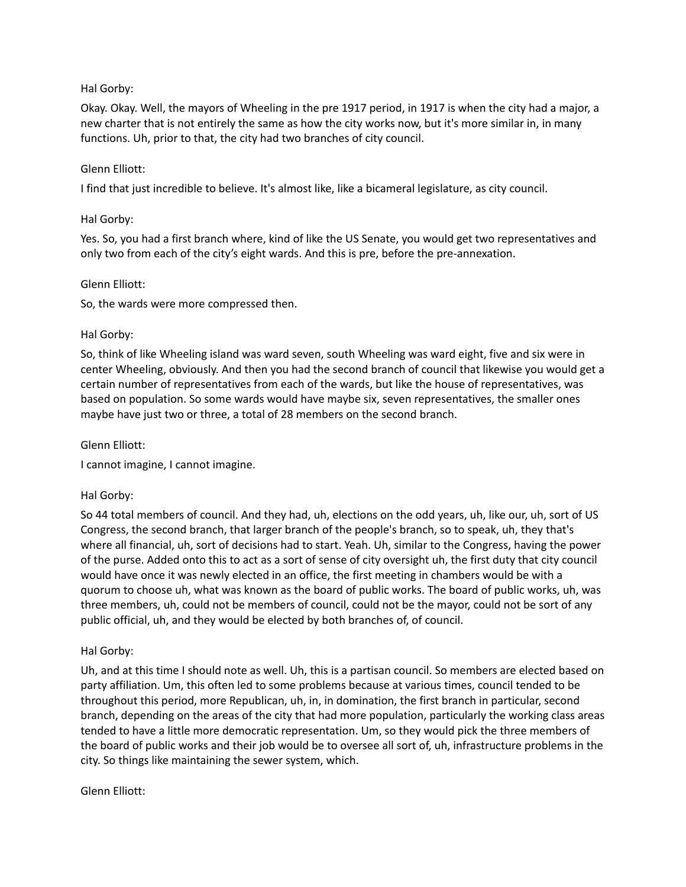# Hal Gorby:

Okay. Okay. Well, the mayors of Wheeling in the pre 1917 period, in 1917 is when the city had a major, a new charter that is not entirely the same as how the city works now, but it's more similar in, in many functions. Uh, prior to that, the city had two branches of city council.

## Glenn Elliott:

I find that just incredible to believe. It's almost like, like a bicameral legislature, as city council.

## Hal Gorby:

Yes. So, you had a first branch where, kind of like the US Senate, you would get two representatives and only two from each of the city's eight wards. And this is pre, before the pre-annexation.

## Glenn Elliott:

So, the wards were more compressed then.

# Hal Gorby:

So, think of like Wheeling island was ward seven, south Wheeling was ward eight, five and six were in center Wheeling, obviously. And then you had the second branch of council that likewise you would get a certain number of representatives from each of the wards, but like the house of representatives, was based on population. So some wards would have maybe six, seven representatives, the smaller ones maybe have just two or three, a total of 28 members on the second branch.

## Glenn Elliott:

I cannot imagine, I cannot imagine.

# Hal Gorby:

So 44 total members of council. And they had, uh, elections on the odd years, uh, like our, uh, sort of US Congress, the second branch, that larger branch of the people's branch, so to speak, uh, they that's where all financial, uh, sort of decisions had to start. Yeah. Uh, similar to the Congress, having the power of the purse. Added onto this to act as a sort of sense of city oversight uh, the first duty that city council would have once it was newly elected in an office, the first meeting in chambers would be with a quorum to choose uh, what was known as the board of public works. The board of public works, uh, was three members, uh, could not be members of council, could not be the mayor, could not be sort of any public official, uh, and they would be elected by both branches of, of council.

# Hal Gorby:

Uh, and at this time I should note as well. Uh, this is a partisan council. So members are elected based on party affiliation. Um, this often led to some problems because at various times, council tended to be throughout this period, more Republican, uh, in, in domination, the first branch in particular, second branch, depending on the areas of the city that had more population, particularly the working class areas tended to have a little more democratic representation. Um, so they would pick the three members of the board of public works and their job would be to oversee all sort of, uh, infrastructure problems in the city. So things like maintaining the sewer system, which.

## Glenn Elliott: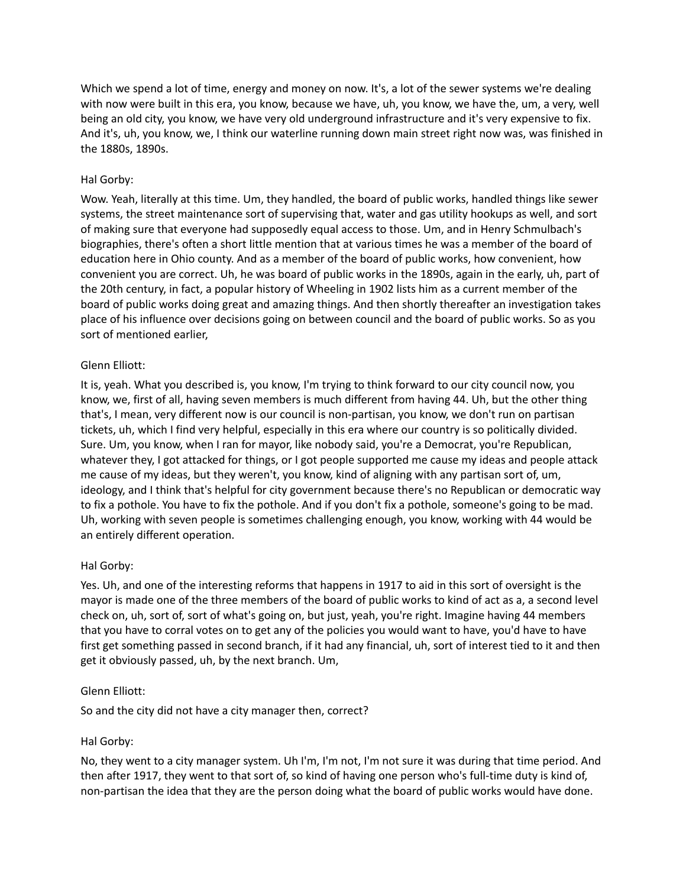Which we spend a lot of time, energy and money on now. It's, a lot of the sewer systems we're dealing with now were built in this era, you know, because we have, uh, you know, we have the, um, a very, well being an old city, you know, we have very old underground infrastructure and it's very expensive to fix. And it's, uh, you know, we, I think our waterline running down main street right now was, was finished in the 1880s, 1890s.

## Hal Gorby:

Wow. Yeah, literally at this time. Um, they handled, the board of public works, handled things like sewer systems, the street maintenance sort of supervising that, water and gas utility hookups as well, and sort of making sure that everyone had supposedly equal access to those. Um, and in Henry Schmulbach's biographies, there's often a short little mention that at various times he was a member of the board of education here in Ohio county. And as a member of the board of public works, how convenient, how convenient you are correct. Uh, he was board of public works in the 1890s, again in the early, uh, part of the 20th century, in fact, a popular history of Wheeling in 1902 lists him as a current member of the board of public works doing great and amazing things. And then shortly thereafter an investigation takes place of his influence over decisions going on between council and the board of public works. So as you sort of mentioned earlier,

## Glenn Elliott:

It is, yeah. What you described is, you know, I'm trying to think forward to our city council now, you know, we, first of all, having seven members is much different from having 44. Uh, but the other thing that's, I mean, very different now is our council is non-partisan, you know, we don't run on partisan tickets, uh, which I find very helpful, especially in this era where our country is so politically divided. Sure. Um, you know, when I ran for mayor, like nobody said, you're a Democrat, you're Republican, whatever they, I got attacked for things, or I got people supported me cause my ideas and people attack me cause of my ideas, but they weren't, you know, kind of aligning with any partisan sort of, um, ideology, and I think that's helpful for city government because there's no Republican or democratic way to fix a pothole. You have to fix the pothole. And if you don't fix a pothole, someone's going to be mad. Uh, working with seven people is sometimes challenging enough, you know, working with 44 would be an entirely different operation.

## Hal Gorby:

Yes. Uh, and one of the interesting reforms that happens in 1917 to aid in this sort of oversight is the mayor is made one of the three members of the board of public works to kind of act as a, a second level check on, uh, sort of, sort of what's going on, but just, yeah, you're right. Imagine having 44 members that you have to corral votes on to get any of the policies you would want to have, you'd have to have first get something passed in second branch, if it had any financial, uh, sort of interest tied to it and then get it obviously passed, uh, by the next branch. Um,

## Glenn Elliott:

So and the city did not have a city manager then, correct?

## Hal Gorby:

No, they went to a city manager system. Uh I'm, I'm not, I'm not sure it was during that time period. And then after 1917, they went to that sort of, so kind of having one person who's full-time duty is kind of, non-partisan the idea that they are the person doing what the board of public works would have done.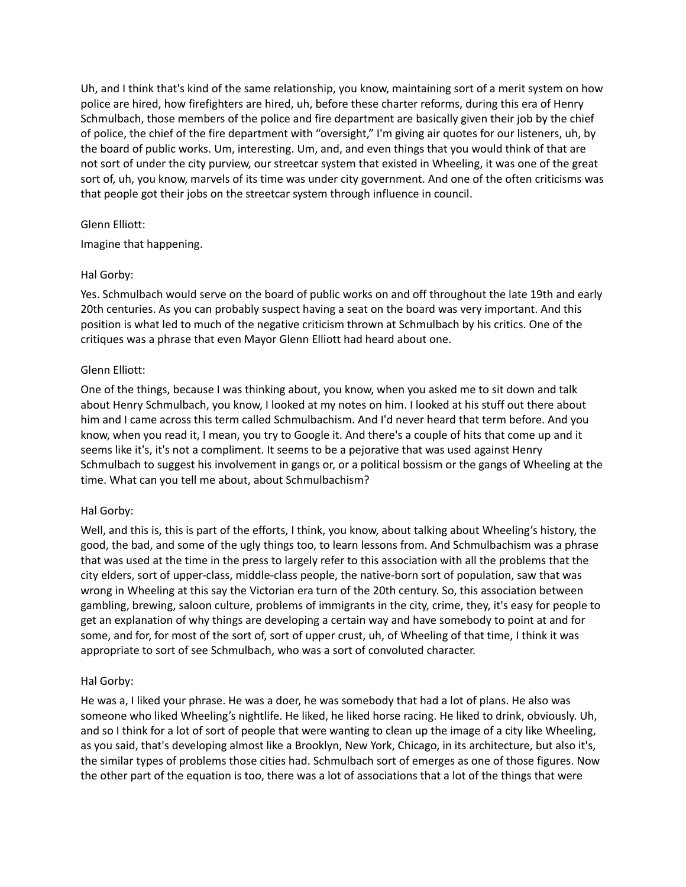Uh, and I think that's kind of the same relationship, you know, maintaining sort of a merit system on how police are hired, how firefighters are hired, uh, before these charter reforms, during this era of Henry Schmulbach, those members of the police and fire department are basically given their job by the chief of police, the chief of the fire department with "oversight," I'm giving air quotes for our listeners, uh, by the board of public works. Um, interesting. Um, and, and even things that you would think of that are not sort of under the city purview, our streetcar system that existed in Wheeling, it was one of the great sort of, uh, you know, marvels of its time was under city government. And one of the often criticisms was that people got their jobs on the streetcar system through influence in council.

## Glenn Elliott:

Imagine that happening.

# Hal Gorby:

Yes. Schmulbach would serve on the board of public works on and off throughout the late 19th and early 20th centuries. As you can probably suspect having a seat on the board was very important. And this position is what led to much of the negative criticism thrown at Schmulbach by his critics. One of the critiques was a phrase that even Mayor Glenn Elliott had heard about one.

# Glenn Elliott:

One of the things, because I was thinking about, you know, when you asked me to sit down and talk about Henry Schmulbach, you know, I looked at my notes on him. I looked at his stuff out there about him and I came across this term called Schmulbachism. And I'd never heard that term before. And you know, when you read it, I mean, you try to Google it. And there's a couple of hits that come up and it seems like it's, it's not a compliment. It seems to be a pejorative that was used against Henry Schmulbach to suggest his involvement in gangs or, or a political bossism or the gangs of Wheeling at the time. What can you tell me about, about Schmulbachism?

## Hal Gorby:

Well, and this is, this is part of the efforts, I think, you know, about talking about Wheeling's history, the good, the bad, and some of the ugly things too, to learn lessons from. And Schmulbachism was a phrase that was used at the time in the press to largely refer to this association with all the problems that the city elders, sort of upper-class, middle-class people, the native-born sort of population, saw that was wrong in Wheeling at this say the Victorian era turn of the 20th century. So, this association between gambling, brewing, saloon culture, problems of immigrants in the city, crime, they, it's easy for people to get an explanation of why things are developing a certain way and have somebody to point at and for some, and for, for most of the sort of, sort of upper crust, uh, of Wheeling of that time, I think it was appropriate to sort of see Schmulbach, who was a sort of convoluted character.

## Hal Gorby:

He was a, I liked your phrase. He was a doer, he was somebody that had a lot of plans. He also was someone who liked Wheeling's nightlife. He liked, he liked horse racing. He liked to drink, obviously. Uh, and so I think for a lot of sort of people that were wanting to clean up the image of a city like Wheeling, as you said, that's developing almost like a Brooklyn, New York, Chicago, in its architecture, but also it's, the similar types of problems those cities had. Schmulbach sort of emerges as one of those figures. Now the other part of the equation is too, there was a lot of associations that a lot of the things that were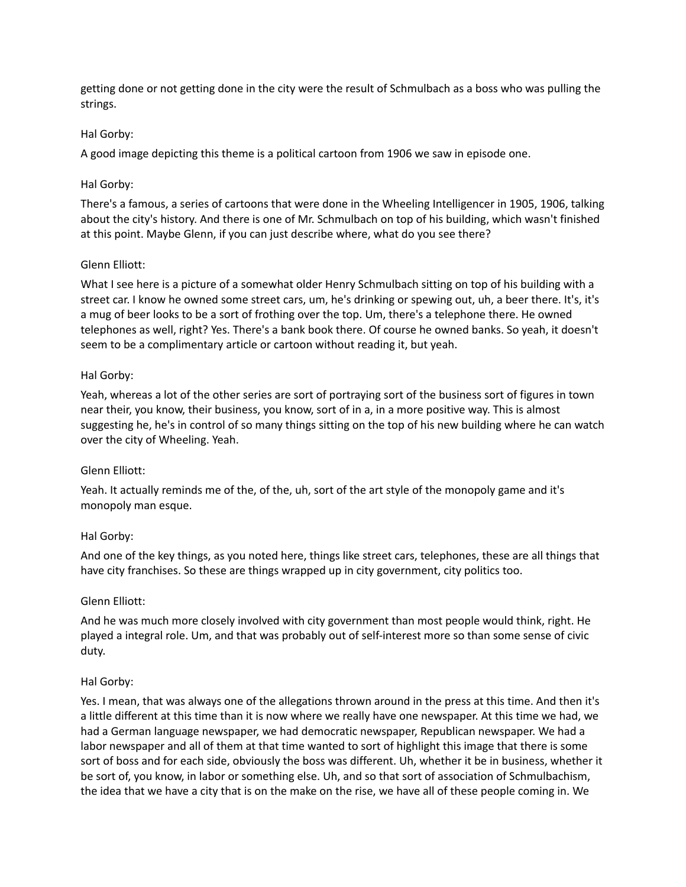getting done or not getting done in the city were the result of Schmulbach as a boss who was pulling the strings.

# Hal Gorby:

A good image depicting this theme is a political cartoon from 1906 we saw in episode one.

# Hal Gorby:

There's a famous, a series of cartoons that were done in the Wheeling Intelligencer in 1905, 1906, talking about the city's history. And there is one of Mr. Schmulbach on top of his building, which wasn't finished at this point. Maybe Glenn, if you can just describe where, what do you see there?

# Glenn Elliott:

What I see here is a picture of a somewhat older Henry Schmulbach sitting on top of his building with a street car. I know he owned some street cars, um, he's drinking or spewing out, uh, a beer there. It's, it's a mug of beer looks to be a sort of frothing over the top. Um, there's a telephone there. He owned telephones as well, right? Yes. There's a bank book there. Of course he owned banks. So yeah, it doesn't seem to be a complimentary article or cartoon without reading it, but yeah.

# Hal Gorby:

Yeah, whereas a lot of the other series are sort of portraying sort of the business sort of figures in town near their, you know, their business, you know, sort of in a, in a more positive way. This is almost suggesting he, he's in control of so many things sitting on the top of his new building where he can watch over the city of Wheeling. Yeah.

## Glenn Elliott:

Yeah. It actually reminds me of the, of the, uh, sort of the art style of the monopoly game and it's monopoly man esque.

## Hal Gorby:

And one of the key things, as you noted here, things like street cars, telephones, these are all things that have city franchises. So these are things wrapped up in city government, city politics too.

## Glenn Elliott:

And he was much more closely involved with city government than most people would think, right. He played a integral role. Um, and that was probably out of self-interest more so than some sense of civic duty.

## Hal Gorby:

Yes. I mean, that was always one of the allegations thrown around in the press at this time. And then it's a little different at this time than it is now where we really have one newspaper. At this time we had, we had a German language newspaper, we had democratic newspaper, Republican newspaper. We had a labor newspaper and all of them at that time wanted to sort of highlight this image that there is some sort of boss and for each side, obviously the boss was different. Uh, whether it be in business, whether it be sort of, you know, in labor or something else. Uh, and so that sort of association of Schmulbachism, the idea that we have a city that is on the make on the rise, we have all of these people coming in. We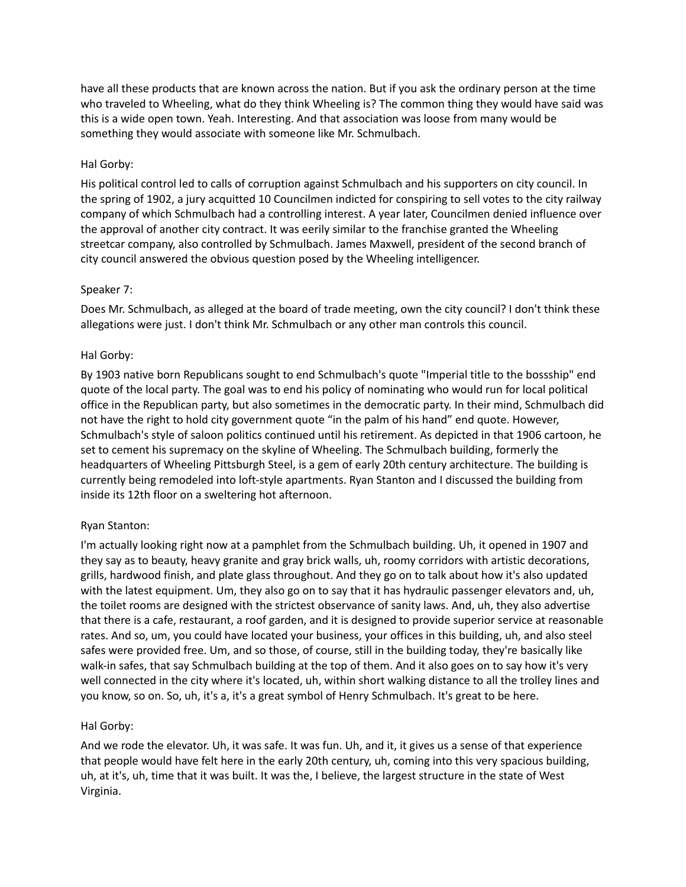have all these products that are known across the nation. But if you ask the ordinary person at the time who traveled to Wheeling, what do they think Wheeling is? The common thing they would have said was this is a wide open town. Yeah. Interesting. And that association was loose from many would be something they would associate with someone like Mr. Schmulbach.

# Hal Gorby:

His political control led to calls of corruption against Schmulbach and his supporters on city council. In the spring of 1902, a jury acquitted 10 Councilmen indicted for conspiring to sell votes to the city railway company of which Schmulbach had a controlling interest. A year later, Councilmen denied influence over the approval of another city contract. It was eerily similar to the franchise granted the Wheeling streetcar company, also controlled by Schmulbach. James Maxwell, president of the second branch of city council answered the obvious question posed by the Wheeling intelligencer.

# Speaker 7:

Does Mr. Schmulbach, as alleged at the board of trade meeting, own the city council? I don't think these allegations were just. I don't think Mr. Schmulbach or any other man controls this council.

# Hal Gorby:

By 1903 native born Republicans sought to end Schmulbach's quote "Imperial title to the bossship" end quote of the local party. The goal was to end his policy of nominating who would run for local political office in the Republican party, but also sometimes in the democratic party. In their mind, Schmulbach did not have the right to hold city government quote "in the palm of his hand" end quote. However, Schmulbach's style of saloon politics continued until his retirement. As depicted in that 1906 cartoon, he set to cement his supremacy on the skyline of Wheeling. The Schmulbach building, formerly the headquarters of Wheeling Pittsburgh Steel, is a gem of early 20th century architecture. The building is currently being remodeled into loft-style apartments. Ryan Stanton and I discussed the building from inside its 12th floor on a sweltering hot afternoon.

## Ryan Stanton:

I'm actually looking right now at a pamphlet from the Schmulbach building. Uh, it opened in 1907 and they say as to beauty, heavy granite and gray brick walls, uh, roomy corridors with artistic decorations, grills, hardwood finish, and plate glass throughout. And they go on to talk about how it's also updated with the latest equipment. Um, they also go on to say that it has hydraulic passenger elevators and, uh, the toilet rooms are designed with the strictest observance of sanity laws. And, uh, they also advertise that there is a cafe, restaurant, a roof garden, and it is designed to provide superior service at reasonable rates. And so, um, you could have located your business, your offices in this building, uh, and also steel safes were provided free. Um, and so those, of course, still in the building today, they're basically like walk-in safes, that say Schmulbach building at the top of them. And it also goes on to say how it's very well connected in the city where it's located, uh, within short walking distance to all the trolley lines and you know, so on. So, uh, it's a, it's a great symbol of Henry Schmulbach. It's great to be here.

## Hal Gorby:

And we rode the elevator. Uh, it was safe. It was fun. Uh, and it, it gives us a sense of that experience that people would have felt here in the early 20th century, uh, coming into this very spacious building, uh, at it's, uh, time that it was built. It was the, I believe, the largest structure in the state of West Virginia.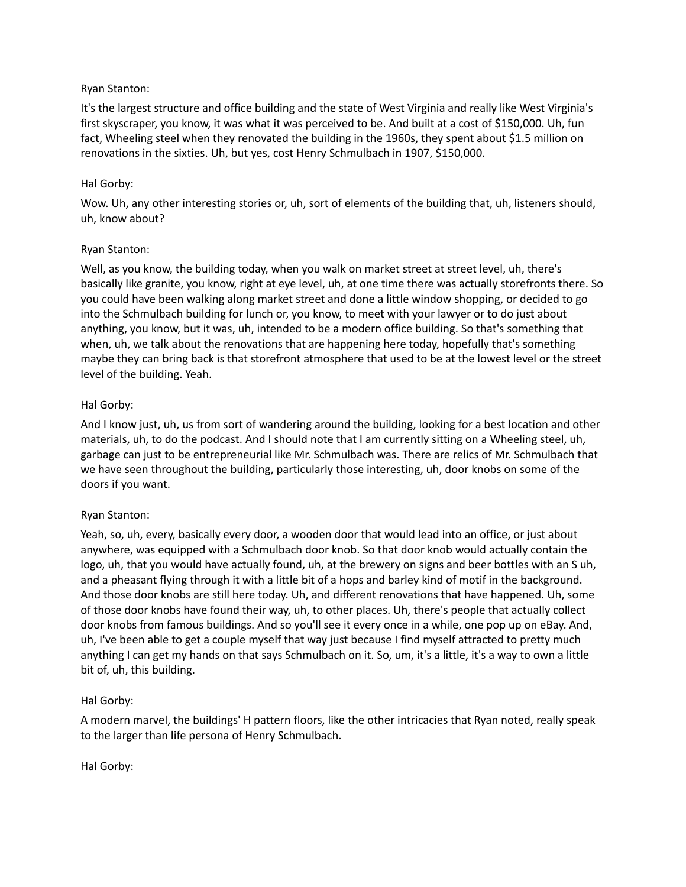## Ryan Stanton:

It's the largest structure and office building and the state of West Virginia and really like West Virginia's first skyscraper, you know, it was what it was perceived to be. And built at a cost of \$150,000. Uh, fun fact, Wheeling steel when they renovated the building in the 1960s, they spent about \$1.5 million on renovations in the sixties. Uh, but yes, cost Henry Schmulbach in 1907, \$150,000.

### Hal Gorby:

Wow. Uh, any other interesting stories or, uh, sort of elements of the building that, uh, listeners should, uh, know about?

### Ryan Stanton:

Well, as you know, the building today, when you walk on market street at street level, uh, there's basically like granite, you know, right at eye level, uh, at one time there was actually storefronts there. So you could have been walking along market street and done a little window shopping, or decided to go into the Schmulbach building for lunch or, you know, to meet with your lawyer or to do just about anything, you know, but it was, uh, intended to be a modern office building. So that's something that when, uh, we talk about the renovations that are happening here today, hopefully that's something maybe they can bring back is that storefront atmosphere that used to be at the lowest level or the street level of the building. Yeah.

### Hal Gorby:

And I know just, uh, us from sort of wandering around the building, looking for a best location and other materials, uh, to do the podcast. And I should note that I am currently sitting on a Wheeling steel, uh, garbage can just to be entrepreneurial like Mr. Schmulbach was. There are relics of Mr. Schmulbach that we have seen throughout the building, particularly those interesting, uh, door knobs on some of the doors if you want.

#### Ryan Stanton:

Yeah, so, uh, every, basically every door, a wooden door that would lead into an office, or just about anywhere, was equipped with a Schmulbach door knob. So that door knob would actually contain the logo, uh, that you would have actually found, uh, at the brewery on signs and beer bottles with an S uh, and a pheasant flying through it with a little bit of a hops and barley kind of motif in the background. And those door knobs are still here today. Uh, and different renovations that have happened. Uh, some of those door knobs have found their way, uh, to other places. Uh, there's people that actually collect door knobs from famous buildings. And so you'll see it every once in a while, one pop up on eBay. And, uh, I've been able to get a couple myself that way just because I find myself attracted to pretty much anything I can get my hands on that says Schmulbach on it. So, um, it's a little, it's a way to own a little bit of, uh, this building.

#### Hal Gorby:

A modern marvel, the buildings' H pattern floors, like the other intricacies that Ryan noted, really speak to the larger than life persona of Henry Schmulbach.

Hal Gorby: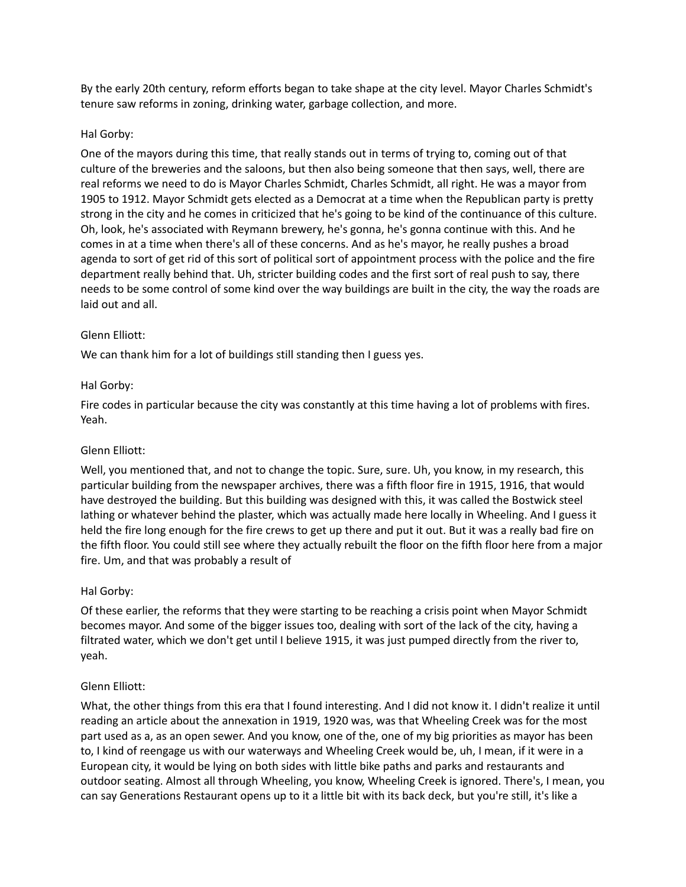By the early 20th century, reform efforts began to take shape at the city level. Mayor Charles Schmidt's tenure saw reforms in zoning, drinking water, garbage collection, and more.

# Hal Gorby:

One of the mayors during this time, that really stands out in terms of trying to, coming out of that culture of the breweries and the saloons, but then also being someone that then says, well, there are real reforms we need to do is Mayor Charles Schmidt, Charles Schmidt, all right. He was a mayor from 1905 to 1912. Mayor Schmidt gets elected as a Democrat at a time when the Republican party is pretty strong in the city and he comes in criticized that he's going to be kind of the continuance of this culture. Oh, look, he's associated with Reymann brewery, he's gonna, he's gonna continue with this. And he comes in at a time when there's all of these concerns. And as he's mayor, he really pushes a broad agenda to sort of get rid of this sort of political sort of appointment process with the police and the fire department really behind that. Uh, stricter building codes and the first sort of real push to say, there needs to be some control of some kind over the way buildings are built in the city, the way the roads are laid out and all.

# Glenn Elliott:

We can thank him for a lot of buildings still standing then I guess yes.

# Hal Gorby:

Fire codes in particular because the city was constantly at this time having a lot of problems with fires. Yeah.

## Glenn Elliott:

Well, you mentioned that, and not to change the topic. Sure, sure. Uh, you know, in my research, this particular building from the newspaper archives, there was a fifth floor fire in 1915, 1916, that would have destroyed the building. But this building was designed with this, it was called the Bostwick steel lathing or whatever behind the plaster, which was actually made here locally in Wheeling. And I guess it held the fire long enough for the fire crews to get up there and put it out. But it was a really bad fire on the fifth floor. You could still see where they actually rebuilt the floor on the fifth floor here from a major fire. Um, and that was probably a result of

## Hal Gorby:

Of these earlier, the reforms that they were starting to be reaching a crisis point when Mayor Schmidt becomes mayor. And some of the bigger issues too, dealing with sort of the lack of the city, having a filtrated water, which we don't get until I believe 1915, it was just pumped directly from the river to, yeah.

## Glenn Elliott:

What, the other things from this era that I found interesting. And I did not know it. I didn't realize it until reading an article about the annexation in 1919, 1920 was, was that Wheeling Creek was for the most part used as a, as an open sewer. And you know, one of the, one of my big priorities as mayor has been to, I kind of reengage us with our waterways and Wheeling Creek would be, uh, I mean, if it were in a European city, it would be lying on both sides with little bike paths and parks and restaurants and outdoor seating. Almost all through Wheeling, you know, Wheeling Creek is ignored. There's, I mean, you can say Generations Restaurant opens up to it a little bit with its back deck, but you're still, it's like a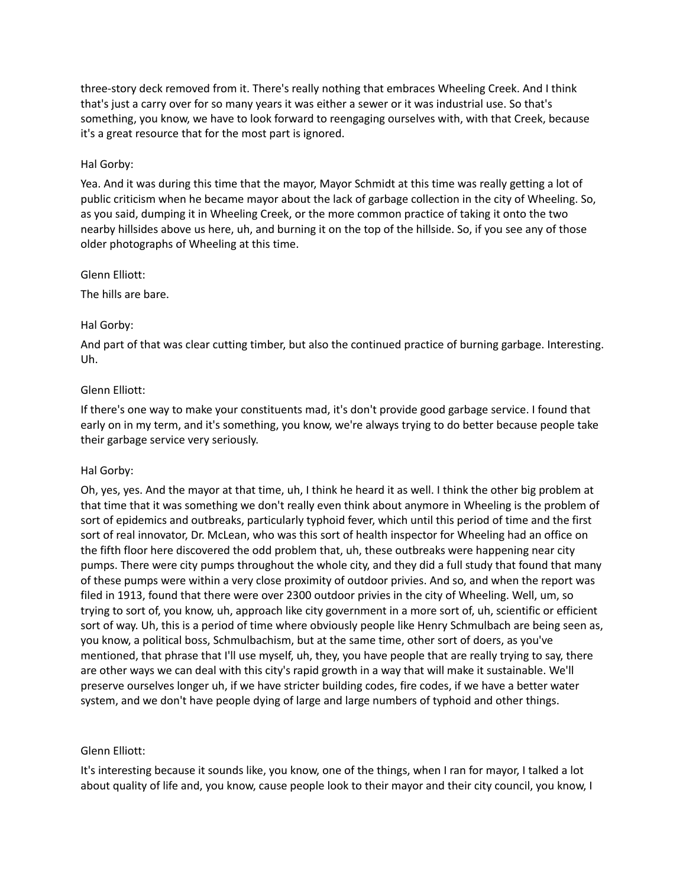three-story deck removed from it. There's really nothing that embraces Wheeling Creek. And I think that's just a carry over for so many years it was either a sewer or it was industrial use. So that's something, you know, we have to look forward to reengaging ourselves with, with that Creek, because it's a great resource that for the most part is ignored.

## Hal Gorby:

Yea. And it was during this time that the mayor, Mayor Schmidt at this time was really getting a lot of public criticism when he became mayor about the lack of garbage collection in the city of Wheeling. So, as you said, dumping it in Wheeling Creek, or the more common practice of taking it onto the two nearby hillsides above us here, uh, and burning it on the top of the hillside. So, if you see any of those older photographs of Wheeling at this time.

Glenn Elliott:

The hills are bare.

### Hal Gorby:

And part of that was clear cutting timber, but also the continued practice of burning garbage. Interesting. Uh.

### Glenn Elliott:

If there's one way to make your constituents mad, it's don't provide good garbage service. I found that early on in my term, and it's something, you know, we're always trying to do better because people take their garbage service very seriously.

## Hal Gorby:

Oh, yes, yes. And the mayor at that time, uh, I think he heard it as well. I think the other big problem at that time that it was something we don't really even think about anymore in Wheeling is the problem of sort of epidemics and outbreaks, particularly typhoid fever, which until this period of time and the first sort of real innovator, Dr. McLean, who was this sort of health inspector for Wheeling had an office on the fifth floor here discovered the odd problem that, uh, these outbreaks were happening near city pumps. There were city pumps throughout the whole city, and they did a full study that found that many of these pumps were within a very close proximity of outdoor privies. And so, and when the report was filed in 1913, found that there were over 2300 outdoor privies in the city of Wheeling. Well, um, so trying to sort of, you know, uh, approach like city government in a more sort of, uh, scientific or efficient sort of way. Uh, this is a period of time where obviously people like Henry Schmulbach are being seen as, you know, a political boss, Schmulbachism, but at the same time, other sort of doers, as you've mentioned, that phrase that I'll use myself, uh, they, you have people that are really trying to say, there are other ways we can deal with this city's rapid growth in a way that will make it sustainable. We'll preserve ourselves longer uh, if we have stricter building codes, fire codes, if we have a better water system, and we don't have people dying of large and large numbers of typhoid and other things.

## Glenn Elliott:

It's interesting because it sounds like, you know, one of the things, when I ran for mayor, I talked a lot about quality of life and, you know, cause people look to their mayor and their city council, you know, I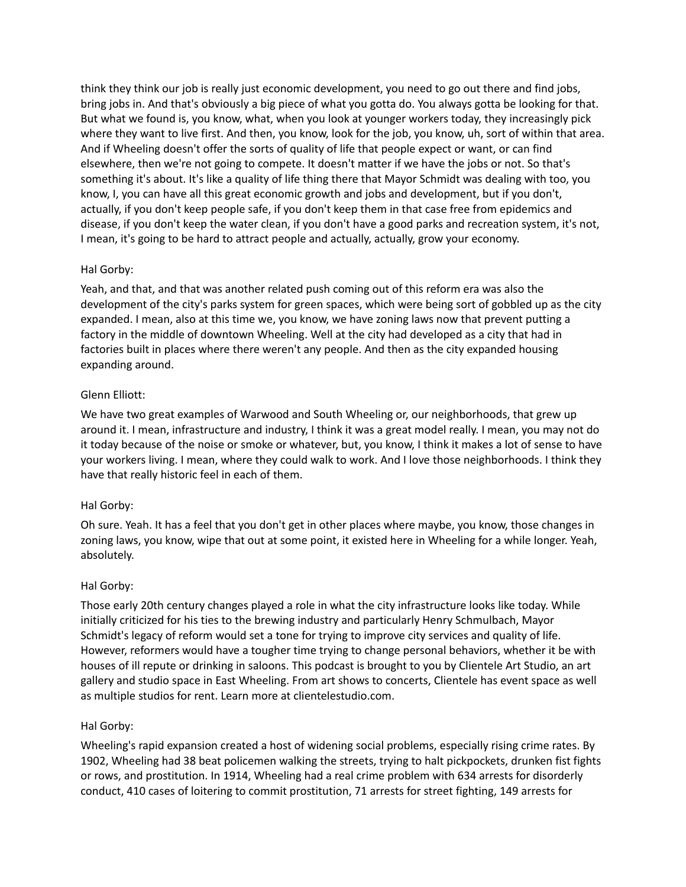think they think our job is really just economic development, you need to go out there and find jobs, bring jobs in. And that's obviously a big piece of what you gotta do. You always gotta be looking for that. But what we found is, you know, what, when you look at younger workers today, they increasingly pick where they want to live first. And then, you know, look for the job, you know, uh, sort of within that area. And if Wheeling doesn't offer the sorts of quality of life that people expect or want, or can find elsewhere, then we're not going to compete. It doesn't matter if we have the jobs or not. So that's something it's about. It's like a quality of life thing there that Mayor Schmidt was dealing with too, you know, I, you can have all this great economic growth and jobs and development, but if you don't, actually, if you don't keep people safe, if you don't keep them in that case free from epidemics and disease, if you don't keep the water clean, if you don't have a good parks and recreation system, it's not, I mean, it's going to be hard to attract people and actually, actually, grow your economy.

## Hal Gorby:

Yeah, and that, and that was another related push coming out of this reform era was also the development of the city's parks system for green spaces, which were being sort of gobbled up as the city expanded. I mean, also at this time we, you know, we have zoning laws now that prevent putting a factory in the middle of downtown Wheeling. Well at the city had developed as a city that had in factories built in places where there weren't any people. And then as the city expanded housing expanding around.

# Glenn Elliott:

We have two great examples of Warwood and South Wheeling or, our neighborhoods, that grew up around it. I mean, infrastructure and industry, I think it was a great model really. I mean, you may not do it today because of the noise or smoke or whatever, but, you know, I think it makes a lot of sense to have your workers living. I mean, where they could walk to work. And I love those neighborhoods. I think they have that really historic feel in each of them.

# Hal Gorby:

Oh sure. Yeah. It has a feel that you don't get in other places where maybe, you know, those changes in zoning laws, you know, wipe that out at some point, it existed here in Wheeling for a while longer. Yeah, absolutely.

## Hal Gorby:

Those early 20th century changes played a role in what the city infrastructure looks like today. While initially criticized for his ties to the brewing industry and particularly Henry Schmulbach, Mayor Schmidt's legacy of reform would set a tone for trying to improve city services and quality of life. However, reformers would have a tougher time trying to change personal behaviors, whether it be with houses of ill repute or drinking in saloons. This podcast is brought to you by Clientele Art Studio, an art gallery and studio space in East Wheeling. From art shows to concerts, Clientele has event space as well as multiple studios for rent. Learn more at clientelestudio.com.

## Hal Gorby:

Wheeling's rapid expansion created a host of widening social problems, especially rising crime rates. By 1902, Wheeling had 38 beat policemen walking the streets, trying to halt pickpockets, drunken fist fights or rows, and prostitution. In 1914, Wheeling had a real crime problem with 634 arrests for disorderly conduct, 410 cases of loitering to commit prostitution, 71 arrests for street fighting, 149 arrests for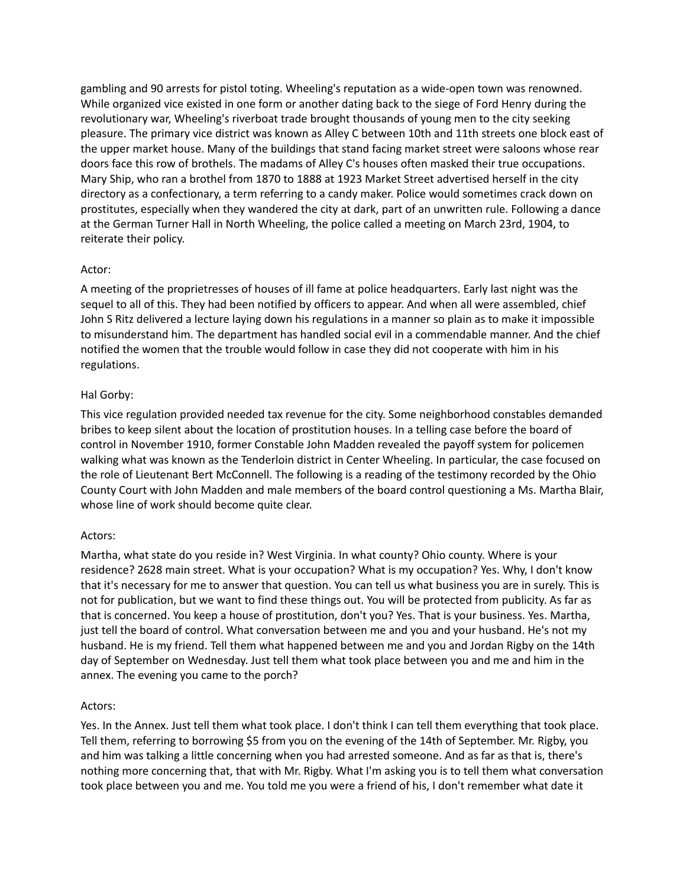gambling and 90 arrests for pistol toting. Wheeling's reputation as a wide-open town was renowned. While organized vice existed in one form or another dating back to the siege of Ford Henry during the revolutionary war, Wheeling's riverboat trade brought thousands of young men to the city seeking pleasure. The primary vice district was known as Alley C between 10th and 11th streets one block east of the upper market house. Many of the buildings that stand facing market street were saloons whose rear doors face this row of brothels. The madams of Alley C's houses often masked their true occupations. Mary Ship, who ran a brothel from 1870 to 1888 at 1923 Market Street advertised herself in the city directory as a confectionary, a term referring to a candy maker. Police would sometimes crack down on prostitutes, especially when they wandered the city at dark, part of an unwritten rule. Following a dance at the German Turner Hall in North Wheeling, the police called a meeting on March 23rd, 1904, to reiterate their policy.

## Actor:

A meeting of the proprietresses of houses of ill fame at police headquarters. Early last night was the sequel to all of this. They had been notified by officers to appear. And when all were assembled, chief John S Ritz delivered a lecture laying down his regulations in a manner so plain as to make it impossible to misunderstand him. The department has handled social evil in a commendable manner. And the chief notified the women that the trouble would follow in case they did not cooperate with him in his regulations.

# Hal Gorby:

This vice regulation provided needed tax revenue for the city. Some neighborhood constables demanded bribes to keep silent about the location of prostitution houses. In a telling case before the board of control in November 1910, former Constable John Madden revealed the payoff system for policemen walking what was known as the Tenderloin district in Center Wheeling. In particular, the case focused on the role of Lieutenant Bert McConnell. The following is a reading of the testimony recorded by the Ohio County Court with John Madden and male members of the board control questioning a Ms. Martha Blair, whose line of work should become quite clear.

## Actors:

Martha, what state do you reside in? West Virginia. In what county? Ohio county. Where is your residence? 2628 main street. What is your occupation? What is my occupation? Yes. Why, I don't know that it's necessary for me to answer that question. You can tell us what business you are in surely. This is not for publication, but we want to find these things out. You will be protected from publicity. As far as that is concerned. You keep a house of prostitution, don't you? Yes. That is your business. Yes. Martha, just tell the board of control. What conversation between me and you and your husband. He's not my husband. He is my friend. Tell them what happened between me and you and Jordan Rigby on the 14th day of September on Wednesday. Just tell them what took place between you and me and him in the annex. The evening you came to the porch?

## Actors:

Yes. In the Annex. Just tell them what took place. I don't think I can tell them everything that took place. Tell them, referring to borrowing \$5 from you on the evening of the 14th of September. Mr. Rigby, you and him was talking a little concerning when you had arrested someone. And as far as that is, there's nothing more concerning that, that with Mr. Rigby. What I'm asking you is to tell them what conversation took place between you and me. You told me you were a friend of his, I don't remember what date it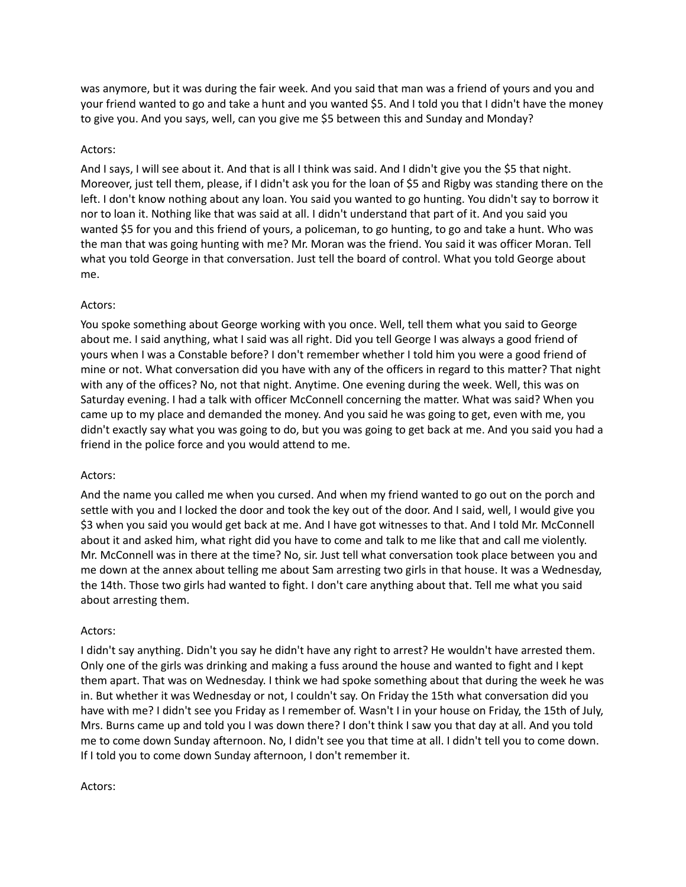was anymore, but it was during the fair week. And you said that man was a friend of yours and you and your friend wanted to go and take a hunt and you wanted \$5. And I told you that I didn't have the money to give you. And you says, well, can you give me \$5 between this and Sunday and Monday?

## Actors:

And I says, I will see about it. And that is all I think was said. And I didn't give you the \$5 that night. Moreover, just tell them, please, if I didn't ask you for the loan of \$5 and Rigby was standing there on the left. I don't know nothing about any loan. You said you wanted to go hunting. You didn't say to borrow it nor to loan it. Nothing like that was said at all. I didn't understand that part of it. And you said you wanted \$5 for you and this friend of yours, a policeman, to go hunting, to go and take a hunt. Who was the man that was going hunting with me? Mr. Moran was the friend. You said it was officer Moran. Tell what you told George in that conversation. Just tell the board of control. What you told George about me.

# Actors:

You spoke something about George working with you once. Well, tell them what you said to George about me. I said anything, what I said was all right. Did you tell George I was always a good friend of yours when I was a Constable before? I don't remember whether I told him you were a good friend of mine or not. What conversation did you have with any of the officers in regard to this matter? That night with any of the offices? No, not that night. Anytime. One evening during the week. Well, this was on Saturday evening. I had a talk with officer McConnell concerning the matter. What was said? When you came up to my place and demanded the money. And you said he was going to get, even with me, you didn't exactly say what you was going to do, but you was going to get back at me. And you said you had a friend in the police force and you would attend to me.

## Actors:

And the name you called me when you cursed. And when my friend wanted to go out on the porch and settle with you and I locked the door and took the key out of the door. And I said, well, I would give you \$3 when you said you would get back at me. And I have got witnesses to that. And I told Mr. McConnell about it and asked him, what right did you have to come and talk to me like that and call me violently. Mr. McConnell was in there at the time? No, sir. Just tell what conversation took place between you and me down at the annex about telling me about Sam arresting two girls in that house. It was a Wednesday, the 14th. Those two girls had wanted to fight. I don't care anything about that. Tell me what you said about arresting them.

## Actors:

I didn't say anything. Didn't you say he didn't have any right to arrest? He wouldn't have arrested them. Only one of the girls was drinking and making a fuss around the house and wanted to fight and I kept them apart. That was on Wednesday. I think we had spoke something about that during the week he was in. But whether it was Wednesday or not, I couldn't say. On Friday the 15th what conversation did you have with me? I didn't see you Friday as I remember of. Wasn't I in your house on Friday, the 15th of July, Mrs. Burns came up and told you I was down there? I don't think I saw you that day at all. And you told me to come down Sunday afternoon. No, I didn't see you that time at all. I didn't tell you to come down. If I told you to come down Sunday afternoon, I don't remember it.

#### Actors: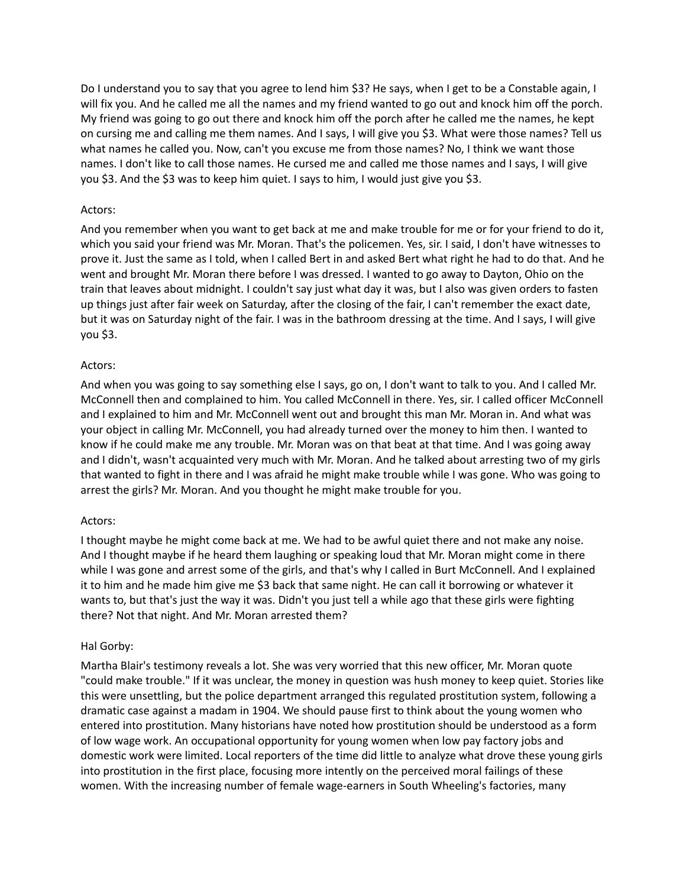Do I understand you to say that you agree to lend him \$3? He says, when I get to be a Constable again, I will fix you. And he called me all the names and my friend wanted to go out and knock him off the porch. My friend was going to go out there and knock him off the porch after he called me the names, he kept on cursing me and calling me them names. And I says, I will give you \$3. What were those names? Tell us what names he called you. Now, can't you excuse me from those names? No, I think we want those names. I don't like to call those names. He cursed me and called me those names and I says, I will give you \$3. And the \$3 was to keep him quiet. I says to him, I would just give you \$3.

### Actors:

And you remember when you want to get back at me and make trouble for me or for your friend to do it, which you said your friend was Mr. Moran. That's the policemen. Yes, sir. I said, I don't have witnesses to prove it. Just the same as I told, when I called Bert in and asked Bert what right he had to do that. And he went and brought Mr. Moran there before I was dressed. I wanted to go away to Dayton, Ohio on the train that leaves about midnight. I couldn't say just what day it was, but I also was given orders to fasten up things just after fair week on Saturday, after the closing of the fair, I can't remember the exact date, but it was on Saturday night of the fair. I was in the bathroom dressing at the time. And I says, I will give you \$3.

### Actors:

And when you was going to say something else I says, go on, I don't want to talk to you. And I called Mr. McConnell then and complained to him. You called McConnell in there. Yes, sir. I called officer McConnell and I explained to him and Mr. McConnell went out and brought this man Mr. Moran in. And what was your object in calling Mr. McConnell, you had already turned over the money to him then. I wanted to know if he could make me any trouble. Mr. Moran was on that beat at that time. And I was going away and I didn't, wasn't acquainted very much with Mr. Moran. And he talked about arresting two of my girls that wanted to fight in there and I was afraid he might make trouble while I was gone. Who was going to arrest the girls? Mr. Moran. And you thought he might make trouble for you.

#### Actors:

I thought maybe he might come back at me. We had to be awful quiet there and not make any noise. And I thought maybe if he heard them laughing or speaking loud that Mr. Moran might come in there while I was gone and arrest some of the girls, and that's why I called in Burt McConnell. And I explained it to him and he made him give me \$3 back that same night. He can call it borrowing or whatever it wants to, but that's just the way it was. Didn't you just tell a while ago that these girls were fighting there? Not that night. And Mr. Moran arrested them?

## Hal Gorby:

Martha Blair's testimony reveals a lot. She was very worried that this new officer, Mr. Moran quote "could make trouble." If it was unclear, the money in question was hush money to keep quiet. Stories like this were unsettling, but the police department arranged this regulated prostitution system, following a dramatic case against a madam in 1904. We should pause first to think about the young women who entered into prostitution. Many historians have noted how prostitution should be understood as a form of low wage work. An occupational opportunity for young women when low pay factory jobs and domestic work were limited. Local reporters of the time did little to analyze what drove these young girls into prostitution in the first place, focusing more intently on the perceived moral failings of these women. With the increasing number of female wage-earners in South Wheeling's factories, many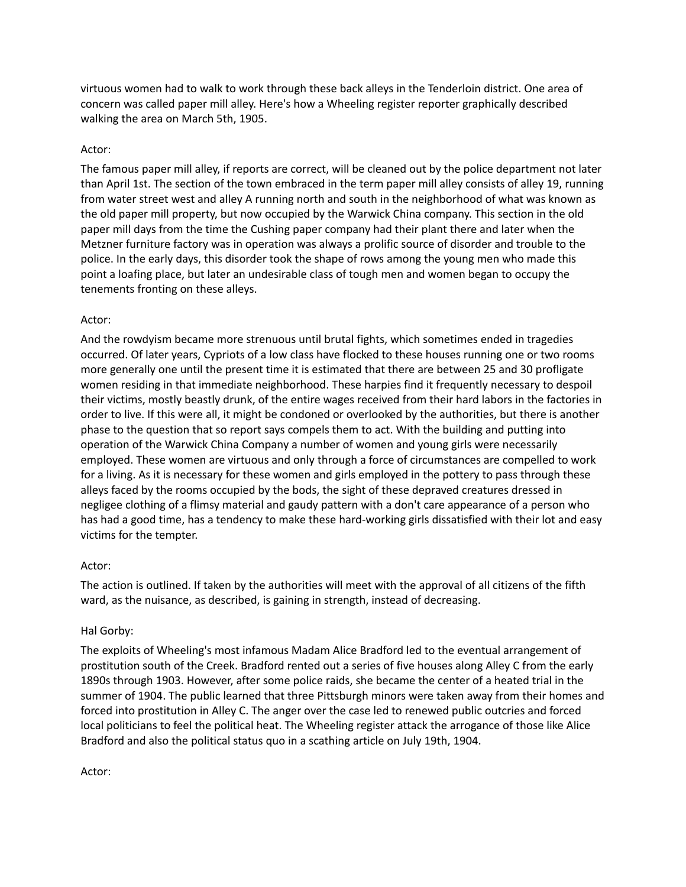virtuous women had to walk to work through these back alleys in the Tenderloin district. One area of concern was called paper mill alley. Here's how a Wheeling register reporter graphically described walking the area on March 5th, 1905.

## Actor:

The famous paper mill alley, if reports are correct, will be cleaned out by the police department not later than April 1st. The section of the town embraced in the term paper mill alley consists of alley 19, running from water street west and alley A running north and south in the neighborhood of what was known as the old paper mill property, but now occupied by the Warwick China company. This section in the old paper mill days from the time the Cushing paper company had their plant there and later when the Metzner furniture factory was in operation was always a prolific source of disorder and trouble to the police. In the early days, this disorder took the shape of rows among the young men who made this point a loafing place, but later an undesirable class of tough men and women began to occupy the tenements fronting on these alleys.

# Actor:

And the rowdyism became more strenuous until brutal fights, which sometimes ended in tragedies occurred. Of later years, Cypriots of a low class have flocked to these houses running one or two rooms more generally one until the present time it is estimated that there are between 25 and 30 profligate women residing in that immediate neighborhood. These harpies find it frequently necessary to despoil their victims, mostly beastly drunk, of the entire wages received from their hard labors in the factories in order to live. If this were all, it might be condoned or overlooked by the authorities, but there is another phase to the question that so report says compels them to act. With the building and putting into operation of the Warwick China Company a number of women and young girls were necessarily employed. These women are virtuous and only through a force of circumstances are compelled to work for a living. As it is necessary for these women and girls employed in the pottery to pass through these alleys faced by the rooms occupied by the bods, the sight of these depraved creatures dressed in negligee clothing of a flimsy material and gaudy pattern with a don't care appearance of a person who has had a good time, has a tendency to make these hard-working girls dissatisfied with their lot and easy victims for the tempter.

## Actor:

The action is outlined. If taken by the authorities will meet with the approval of all citizens of the fifth ward, as the nuisance, as described, is gaining in strength, instead of decreasing.

## Hal Gorby:

The exploits of Wheeling's most infamous Madam Alice Bradford led to the eventual arrangement of prostitution south of the Creek. Bradford rented out a series of five houses along Alley C from the early 1890s through 1903. However, after some police raids, she became the center of a heated trial in the summer of 1904. The public learned that three Pittsburgh minors were taken away from their homes and forced into prostitution in Alley C. The anger over the case led to renewed public outcries and forced local politicians to feel the political heat. The Wheeling register attack the arrogance of those like Alice Bradford and also the political status quo in a scathing article on July 19th, 1904.

Actor: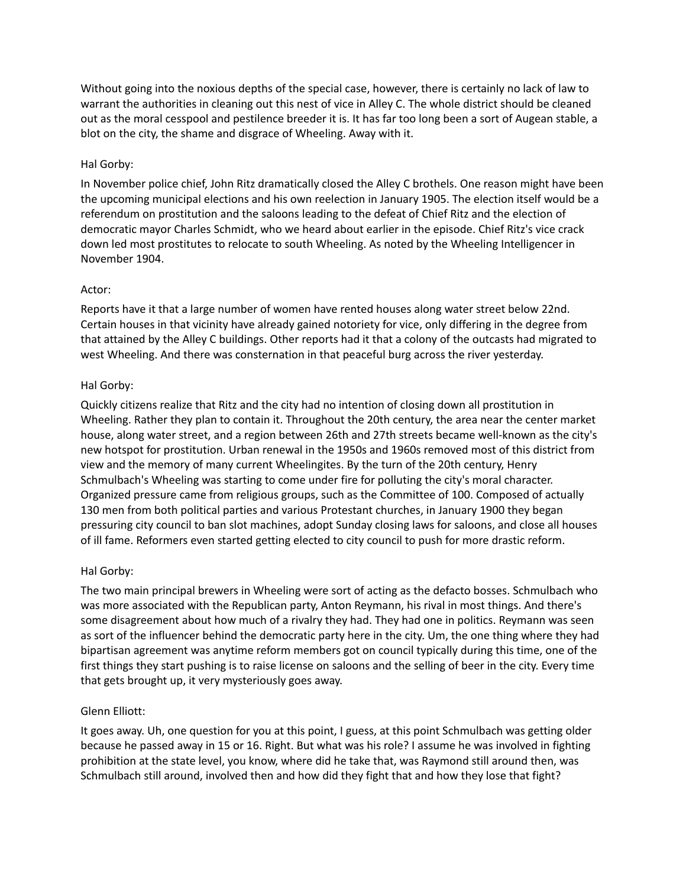Without going into the noxious depths of the special case, however, there is certainly no lack of law to warrant the authorities in cleaning out this nest of vice in Alley C. The whole district should be cleaned out as the moral cesspool and pestilence breeder it is. It has far too long been a sort of Augean stable, a blot on the city, the shame and disgrace of Wheeling. Away with it.

# Hal Gorby:

In November police chief, John Ritz dramatically closed the Alley C brothels. One reason might have been the upcoming municipal elections and his own reelection in January 1905. The election itself would be a referendum on prostitution and the saloons leading to the defeat of Chief Ritz and the election of democratic mayor Charles Schmidt, who we heard about earlier in the episode. Chief Ritz's vice crack down led most prostitutes to relocate to south Wheeling. As noted by the Wheeling Intelligencer in November 1904.

## Actor:

Reports have it that a large number of women have rented houses along water street below 22nd. Certain houses in that vicinity have already gained notoriety for vice, only differing in the degree from that attained by the Alley C buildings. Other reports had it that a colony of the outcasts had migrated to west Wheeling. And there was consternation in that peaceful burg across the river yesterday.

# Hal Gorby:

Quickly citizens realize that Ritz and the city had no intention of closing down all prostitution in Wheeling. Rather they plan to contain it. Throughout the 20th century, the area near the center market house, along water street, and a region between 26th and 27th streets became well-known as the city's new hotspot for prostitution. Urban renewal in the 1950s and 1960s removed most of this district from view and the memory of many current Wheelingites. By the turn of the 20th century, Henry Schmulbach's Wheeling was starting to come under fire for polluting the city's moral character. Organized pressure came from religious groups, such as the Committee of 100. Composed of actually 130 men from both political parties and various Protestant churches, in January 1900 they began pressuring city council to ban slot machines, adopt Sunday closing laws for saloons, and close all houses of ill fame. Reformers even started getting elected to city council to push for more drastic reform.

## Hal Gorby:

The two main principal brewers in Wheeling were sort of acting as the defacto bosses. Schmulbach who was more associated with the Republican party, Anton Reymann, his rival in most things. And there's some disagreement about how much of a rivalry they had. They had one in politics. Reymann was seen as sort of the influencer behind the democratic party here in the city. Um, the one thing where they had bipartisan agreement was anytime reform members got on council typically during this time, one of the first things they start pushing is to raise license on saloons and the selling of beer in the city. Every time that gets brought up, it very mysteriously goes away.

# Glenn Elliott:

It goes away. Uh, one question for you at this point, I guess, at this point Schmulbach was getting older because he passed away in 15 or 16. Right. But what was his role? I assume he was involved in fighting prohibition at the state level, you know, where did he take that, was Raymond still around then, was Schmulbach still around, involved then and how did they fight that and how they lose that fight?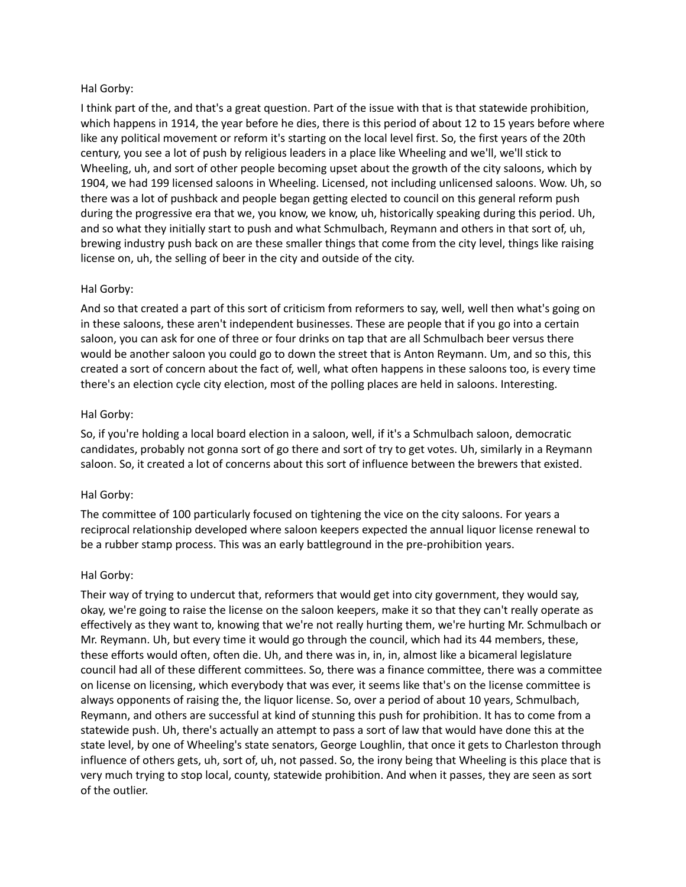## Hal Gorby:

I think part of the, and that's a great question. Part of the issue with that is that statewide prohibition, which happens in 1914, the year before he dies, there is this period of about 12 to 15 years before where like any political movement or reform it's starting on the local level first. So, the first years of the 20th century, you see a lot of push by religious leaders in a place like Wheeling and we'll, we'll stick to Wheeling, uh, and sort of other people becoming upset about the growth of the city saloons, which by 1904, we had 199 licensed saloons in Wheeling. Licensed, not including unlicensed saloons. Wow. Uh, so there was a lot of pushback and people began getting elected to council on this general reform push during the progressive era that we, you know, we know, uh, historically speaking during this period. Uh, and so what they initially start to push and what Schmulbach, Reymann and others in that sort of, uh, brewing industry push back on are these smaller things that come from the city level, things like raising license on, uh, the selling of beer in the city and outside of the city.

# Hal Gorby:

And so that created a part of this sort of criticism from reformers to say, well, well then what's going on in these saloons, these aren't independent businesses. These are people that if you go into a certain saloon, you can ask for one of three or four drinks on tap that are all Schmulbach beer versus there would be another saloon you could go to down the street that is Anton Reymann. Um, and so this, this created a sort of concern about the fact of, well, what often happens in these saloons too, is every time there's an election cycle city election, most of the polling places are held in saloons. Interesting.

## Hal Gorby:

So, if you're holding a local board election in a saloon, well, if it's a Schmulbach saloon, democratic candidates, probably not gonna sort of go there and sort of try to get votes. Uh, similarly in a Reymann saloon. So, it created a lot of concerns about this sort of influence between the brewers that existed.

## Hal Gorby:

The committee of 100 particularly focused on tightening the vice on the city saloons. For years a reciprocal relationship developed where saloon keepers expected the annual liquor license renewal to be a rubber stamp process. This was an early battleground in the pre-prohibition years.

## Hal Gorby:

Their way of trying to undercut that, reformers that would get into city government, they would say, okay, we're going to raise the license on the saloon keepers, make it so that they can't really operate as effectively as they want to, knowing that we're not really hurting them, we're hurting Mr. Schmulbach or Mr. Reymann. Uh, but every time it would go through the council, which had its 44 members, these, these efforts would often, often die. Uh, and there was in, in, in, almost like a bicameral legislature council had all of these different committees. So, there was a finance committee, there was a committee on license on licensing, which everybody that was ever, it seems like that's on the license committee is always opponents of raising the, the liquor license. So, over a period of about 10 years, Schmulbach, Reymann, and others are successful at kind of stunning this push for prohibition. It has to come from a statewide push. Uh, there's actually an attempt to pass a sort of law that would have done this at the state level, by one of Wheeling's state senators, George Loughlin, that once it gets to Charleston through influence of others gets, uh, sort of, uh, not passed. So, the irony being that Wheeling is this place that is very much trying to stop local, county, statewide prohibition. And when it passes, they are seen as sort of the outlier.